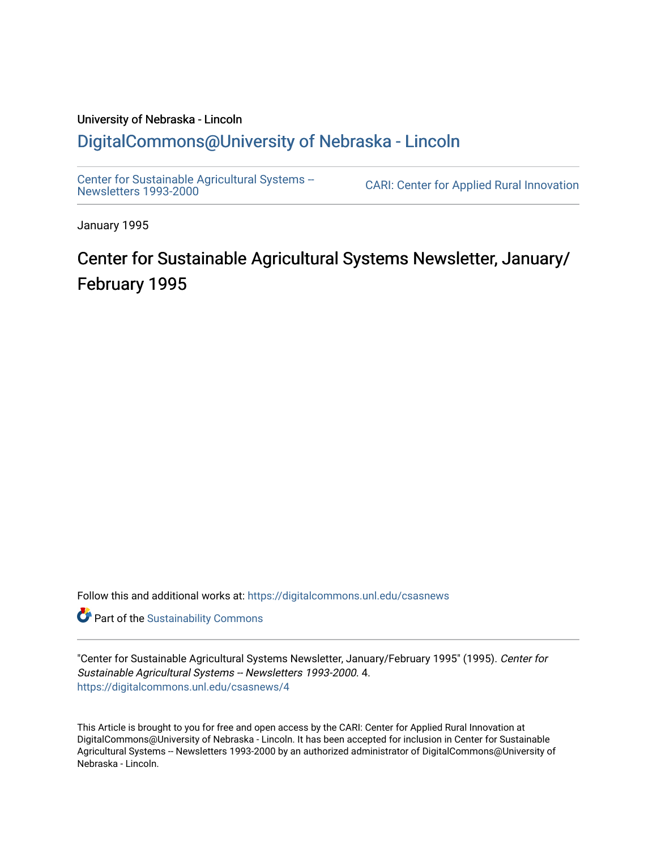# University of Nebraska - Lincoln [DigitalCommons@University of Nebraska - Lincoln](https://digitalcommons.unl.edu/)

[Center for Sustainable Agricultural Systems --](https://digitalcommons.unl.edu/csasnews)<br>Newsletters 1993-2000

CARI: Center for Applied Rural Innovation

January 1995

# Center for Sustainable Agricultural Systems Newsletter, January/ February 1995

Follow this and additional works at: [https://digitalcommons.unl.edu/csasnews](https://digitalcommons.unl.edu/csasnews?utm_source=digitalcommons.unl.edu%2Fcsasnews%2F4&utm_medium=PDF&utm_campaign=PDFCoverPages) 

**Part of the [Sustainability Commons](http://network.bepress.com/hgg/discipline/1031?utm_source=digitalcommons.unl.edu%2Fcsasnews%2F4&utm_medium=PDF&utm_campaign=PDFCoverPages)** 

"Center for Sustainable Agricultural Systems Newsletter, January/February 1995" (1995). Center for Sustainable Agricultural Systems -- Newsletters 1993-2000. 4. [https://digitalcommons.unl.edu/csasnews/4](https://digitalcommons.unl.edu/csasnews/4?utm_source=digitalcommons.unl.edu%2Fcsasnews%2F4&utm_medium=PDF&utm_campaign=PDFCoverPages) 

This Article is brought to you for free and open access by the CARI: Center for Applied Rural Innovation at DigitalCommons@University of Nebraska - Lincoln. It has been accepted for inclusion in Center for Sustainable Agricultural Systems -- Newsletters 1993-2000 by an authorized administrator of DigitalCommons@University of Nebraska - Lincoln.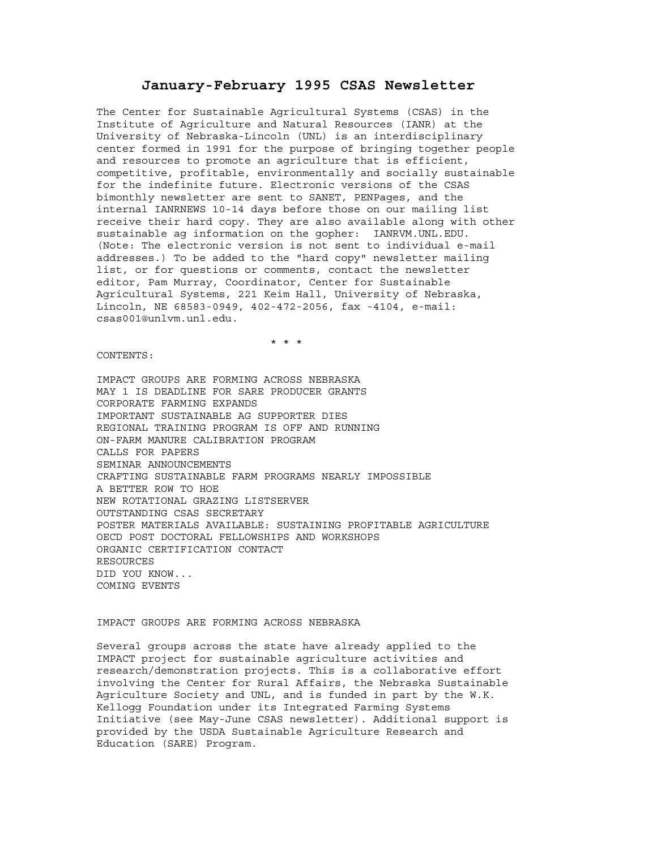# **January-February 1995 CSAS Newsletter**

The Center for Sustainable Agricultural Systems (CSAS) in the Institute of Agriculture and Natural Resources (IANR) at the University of Nebraska-Lincoln (UNL) is an interdisciplinary center formed in 1991 for the purpose of bringing together people and resources to promote an agriculture that is efficient, competitive, profitable, environmentally and socially sustainable for the indefinite future. Electronic versions of the CSAS bimonthly newsletter are sent to SANET, PENPages, and the internal IANRNEWS 10-14 days before those on our mailing list receive their hard copy. They are also available along with other sustainable ag information on the gopher: IANRVM.UNL.EDU. (Note: The electronic version is not sent to individual e-mail addresses.) To be added to the "hard copy" newsletter mailing list, or for questions or comments, contact the newsletter editor, Pam Murray, Coordinator, Center for Sustainable Agricultural Systems, 221 Keim Hall, University of Nebraska, Lincoln, NE 68583-0949, 402-472-2056, fax -4104, e-mail: csas001@unlvm.unl.edu.

\* \* \*

CONTENTS:

IMPACT GROUPS ARE FORMING ACROSS NEBRASKA MAY 1 IS DEADLINE FOR SARE PRODUCER GRANTS CORPORATE FARMING EXPANDS IMPORTANT SUSTAINABLE AG SUPPORTER DIES REGIONAL TRAINING PROGRAM IS OFF AND RUNNING ON-FARM MANURE CALIBRATION PROGRAM CALLS FOR PAPERS SEMINAR ANNOUNCEMENTS CRAFTING SUSTAINABLE FARM PROGRAMS NEARLY IMPOSSIBLE A BETTER ROW TO HOE NEW ROTATIONAL GRAZING LISTSERVER OUTSTANDING CSAS SECRETARY POSTER MATERIALS AVAILABLE: SUSTAINING PROFITABLE AGRICULTURE OECD POST DOCTORAL FELLOWSHIPS AND WORKSHOPS ORGANIC CERTIFICATION CONTACT RESOURCES DID YOU KNOW... COMING EVENTS

#### IMPACT GROUPS ARE FORMING ACROSS NEBRASKA

Several groups across the state have already applied to the IMPACT project for sustainable agriculture activities and research/demonstration projects. This is a collaborative effort involving the Center for Rural Affairs, the Nebraska Sustainable Agriculture Society and UNL, and is funded in part by the W.K. Kellogg Foundation under its Integrated Farming Systems Initiative (see May-June CSAS newsletter). Additional support is provided by the USDA Sustainable Agriculture Research and Education (SARE) Program.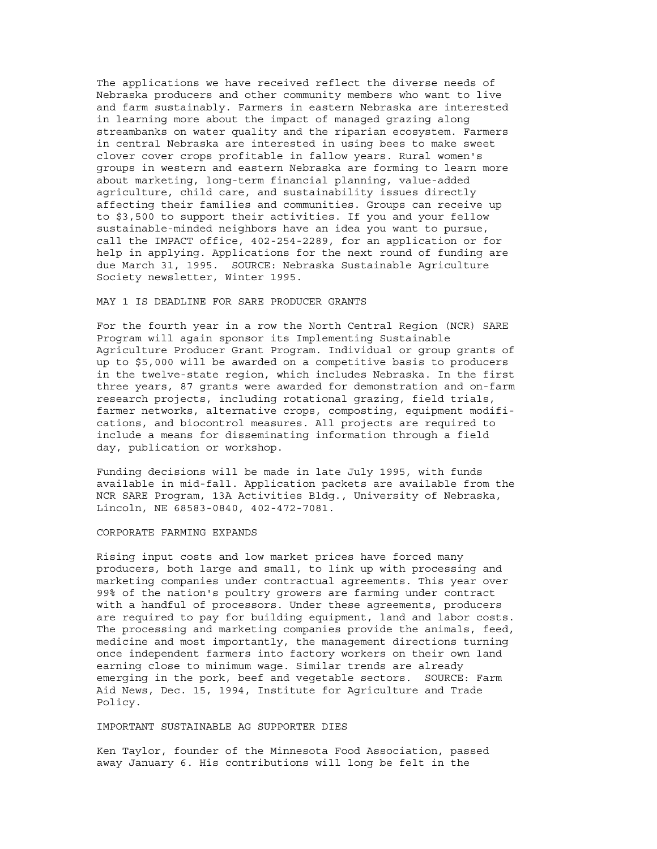The applications we have received reflect the diverse needs of Nebraska producers and other community members who want to live and farm sustainably. Farmers in eastern Nebraska are interested in learning more about the impact of managed grazing along streambanks on water quality and the riparian ecosystem. Farmers in central Nebraska are interested in using bees to make sweet clover cover crops profitable in fallow years. Rural women's groups in western and eastern Nebraska are forming to learn more about marketing, long-term financial planning, value-added agriculture, child care, and sustainability issues directly affecting their families and communities. Groups can receive up to \$3,500 to support their activities. If you and your fellow sustainable-minded neighbors have an idea you want to pursue, call the IMPACT office, 402-254-2289, for an application or for help in applying. Applications for the next round of funding are due March 31, 1995. SOURCE: Nebraska Sustainable Agriculture Society newsletter, Winter 1995.

## MAY 1 IS DEADLINE FOR SARE PRODUCER GRANTS

For the fourth year in a row the North Central Region (NCR) SARE Program will again sponsor its Implementing Sustainable Agriculture Producer Grant Program. Individual or group grants of up to \$5,000 will be awarded on a competitive basis to producers in the twelve-state region, which includes Nebraska. In the first three years, 87 grants were awarded for demonstration and on-farm research projects, including rotational grazing, field trials, farmer networks, alternative crops, composting, equipment modifications, and biocontrol measures. All projects are required to include a means for disseminating information through a field day, publication or workshop.

Funding decisions will be made in late July 1995, with funds available in mid-fall. Application packets are available from the NCR SARE Program, 13A Activities Bldg., University of Nebraska, Lincoln, NE 68583-0840, 402-472-7081.

#### CORPORATE FARMING EXPANDS

Rising input costs and low market prices have forced many producers, both large and small, to link up with processing and marketing companies under contractual agreements. This year over 99% of the nation's poultry growers are farming under contract with a handful of processors. Under these agreements, producers are required to pay for building equipment, land and labor costs. The processing and marketing companies provide the animals, feed, medicine and most importantly, the management directions turning once independent farmers into factory workers on their own land earning close to minimum wage. Similar trends are already emerging in the pork, beef and vegetable sectors. SOURCE: Farm Aid News, Dec. 15, 1994, Institute for Agriculture and Trade Policy.

#### IMPORTANT SUSTAINABLE AG SUPPORTER DIES

Ken Taylor, founder of the Minnesota Food Association, passed away January 6. His contributions will long be felt in the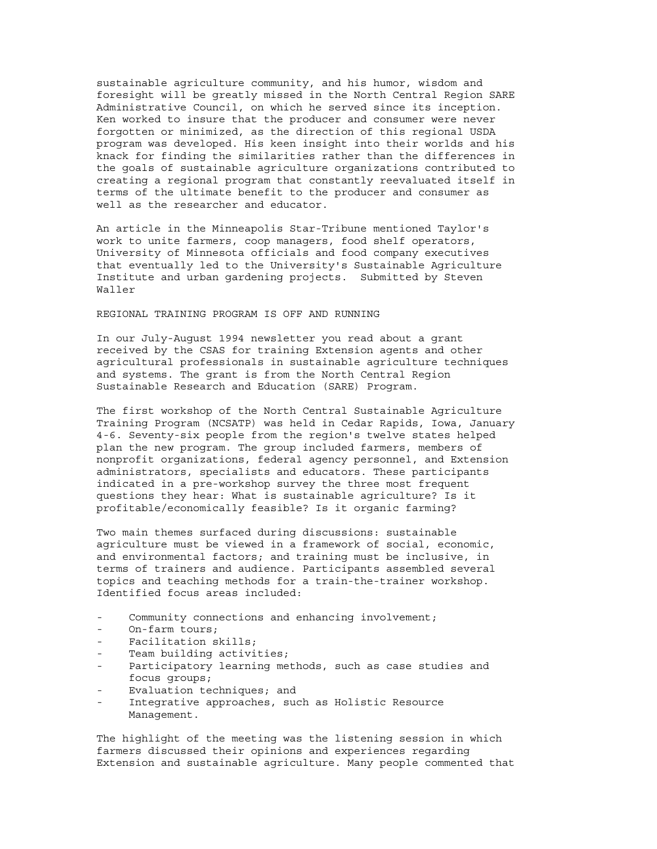sustainable agriculture community, and his humor, wisdom and foresight will be greatly missed in the North Central Region SARE Administrative Council, on which he served since its inception. Ken worked to insure that the producer and consumer were never forgotten or minimized, as the direction of this regional USDA program was developed. His keen insight into their worlds and his knack for finding the similarities rather than the differences in the goals of sustainable agriculture organizations contributed to creating a regional program that constantly reevaluated itself in terms of the ultimate benefit to the producer and consumer as well as the researcher and educator.

An article in the Minneapolis Star-Tribune mentioned Taylor's work to unite farmers, coop managers, food shelf operators, University of Minnesota officials and food company executives that eventually led to the University's Sustainable Agriculture Institute and urban gardening projects. Submitted by Steven Waller

# REGIONAL TRAINING PROGRAM IS OFF AND RUNNING

In our July-August 1994 newsletter you read about a grant received by the CSAS for training Extension agents and other agricultural professionals in sustainable agriculture techniques and systems. The grant is from the North Central Region Sustainable Research and Education (SARE) Program.

The first workshop of the North Central Sustainable Agriculture Training Program (NCSATP) was held in Cedar Rapids, Iowa, January 4-6. Seventy-six people from the region's twelve states helped plan the new program. The group included farmers, members of nonprofit organizations, federal agency personnel, and Extension administrators, specialists and educators. These participants indicated in a pre-workshop survey the three most frequent questions they hear: What is sustainable agriculture? Is it profitable/economically feasible? Is it organic farming?

Two main themes surfaced during discussions: sustainable agriculture must be viewed in a framework of social, economic, and environmental factors; and training must be inclusive, in terms of trainers and audience. Participants assembled several topics and teaching methods for a train-the-trainer workshop. Identified focus areas included:

- Community connections and enhancing involvement;
- On-farm tours;
- Facilitation skills;
- Team building activities;
- Participatory learning methods, such as case studies and focus groups;
- Evaluation techniques; and
- Integrative approaches, such as Holistic Resource Management.

The highlight of the meeting was the listening session in which farmers discussed their opinions and experiences regarding Extension and sustainable agriculture. Many people commented that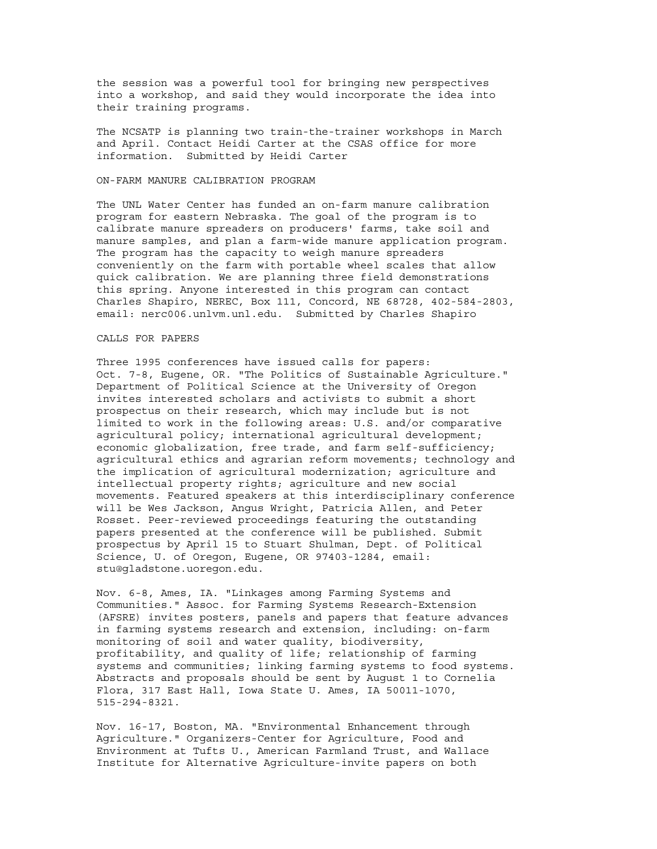the session was a powerful tool for bringing new perspectives into a workshop, and said they would incorporate the idea into their training programs.

The NCSATP is planning two train-the-trainer workshops in March and April. Contact Heidi Carter at the CSAS office for more information. Submitted by Heidi Carter

# ON-FARM MANURE CALIBRATION PROGRAM

The UNL Water Center has funded an on-farm manure calibration program for eastern Nebraska. The goal of the program is to calibrate manure spreaders on producers' farms, take soil and manure samples, and plan a farm-wide manure application program. The program has the capacity to weigh manure spreaders conveniently on the farm with portable wheel scales that allow quick calibration. We are planning three field demonstrations this spring. Anyone interested in this program can contact Charles Shapiro, NEREC, Box 111, Concord, NE 68728, 402-584-2803, email: nerc006.unlvm.unl.edu. Submitted by Charles Shapiro

# CALLS FOR PAPERS

Three 1995 conferences have issued calls for papers: Oct. 7-8, Eugene, OR. "The Politics of Sustainable Agriculture." Department of Political Science at the University of Oregon invites interested scholars and activists to submit a short prospectus on their research, which may include but is not limited to work in the following areas: U.S. and/or comparative agricultural policy; international agricultural development; economic globalization, free trade, and farm self-sufficiency; agricultural ethics and agrarian reform movements; technology and the implication of agricultural modernization; agriculture and intellectual property rights; agriculture and new social movements. Featured speakers at this interdisciplinary conference will be Wes Jackson, Angus Wright, Patricia Allen, and Peter Rosset. Peer-reviewed proceedings featuring the outstanding papers presented at the conference will be published. Submit prospectus by April 15 to Stuart Shulman, Dept. of Political Science, U. of Oregon, Eugene, OR 97403-1284, email: stu@gladstone.uoregon.edu.

Nov. 6-8, Ames, IA. "Linkages among Farming Systems and Communities." Assoc. for Farming Systems Research-Extension (AFSRE) invites posters, panels and papers that feature advances in farming systems research and extension, including: on-farm monitoring of soil and water quality, biodiversity, profitability, and quality of life; relationship of farming systems and communities; linking farming systems to food systems. Abstracts and proposals should be sent by August 1 to Cornelia Flora, 317 East Hall, Iowa State U. Ames, IA 50011-1070, 515-294-8321.

Nov. 16-17, Boston, MA. "Environmental Enhancement through Agriculture." Organizers-Center for Agriculture, Food and Environment at Tufts U., American Farmland Trust, and Wallace Institute for Alternative Agriculture-invite papers on both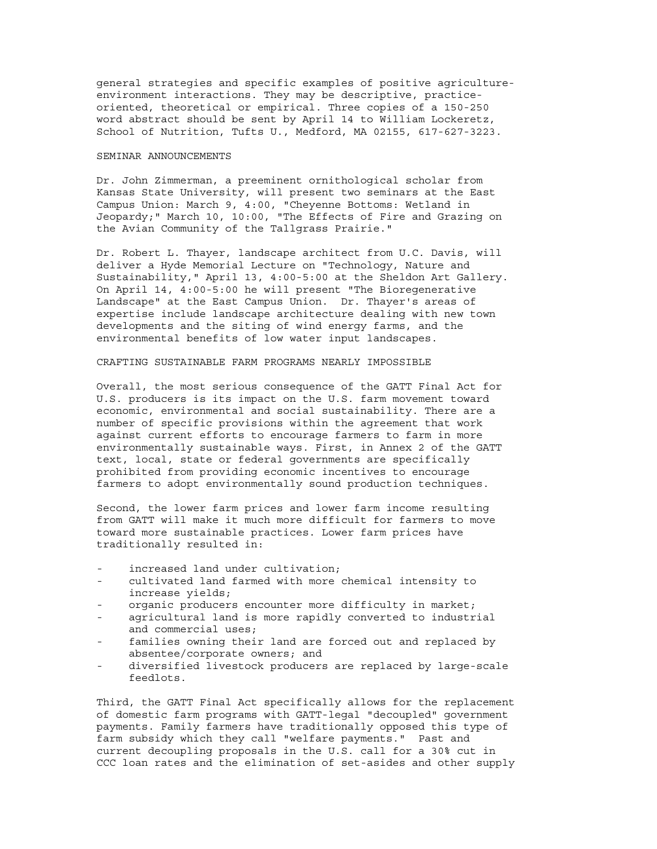general strategies and specific examples of positive agricultureenvironment interactions. They may be descriptive, practiceoriented, theoretical or empirical. Three copies of a 150-250 word abstract should be sent by April 14 to William Lockeretz, School of Nutrition, Tufts U., Medford, MA 02155, 617-627-3223.

#### SEMINAR ANNOUNCEMENTS

Dr. John Zimmerman, a preeminent ornithological scholar from Kansas State University, will present two seminars at the East Campus Union: March 9, 4:00, "Cheyenne Bottoms: Wetland in Jeopardy;" March 10, 10:00, "The Effects of Fire and Grazing on the Avian Community of the Tallgrass Prairie."

Dr. Robert L. Thayer, landscape architect from U.C. Davis, will deliver a Hyde Memorial Lecture on "Technology, Nature and Sustainability," April 13, 4:00-5:00 at the Sheldon Art Gallery. On April 14, 4:00-5:00 he will present "The Bioregenerative Landscape" at the East Campus Union. Dr. Thayer's areas of expertise include landscape architecture dealing with new town developments and the siting of wind energy farms, and the environmental benefits of low water input landscapes.

#### CRAFTING SUSTAINABLE FARM PROGRAMS NEARLY IMPOSSIBLE

Overall, the most serious consequence of the GATT Final Act for U.S. producers is its impact on the U.S. farm movement toward economic, environmental and social sustainability. There are a number of specific provisions within the agreement that work against current efforts to encourage farmers to farm in more environmentally sustainable ways. First, in Annex 2 of the GATT text, local, state or federal governments are specifically prohibited from providing economic incentives to encourage farmers to adopt environmentally sound production techniques.

Second, the lower farm prices and lower farm income resulting from GATT will make it much more difficult for farmers to move toward more sustainable practices. Lower farm prices have traditionally resulted in:

- increased land under cultivation;
- cultivated land farmed with more chemical intensity to increase yields;
- organic producers encounter more difficulty in market;
- agricultural land is more rapidly converted to industrial and commercial uses;
- families owning their land are forced out and replaced by absentee/corporate owners; and
- diversified livestock producers are replaced by large-scale feedlots.

Third, the GATT Final Act specifically allows for the replacement of domestic farm programs with GATT-legal "decoupled" government payments. Family farmers have traditionally opposed this type of farm subsidy which they call "welfare payments." Past and current decoupling proposals in the U.S. call for a 30% cut in CCC loan rates and the elimination of set-asides and other supply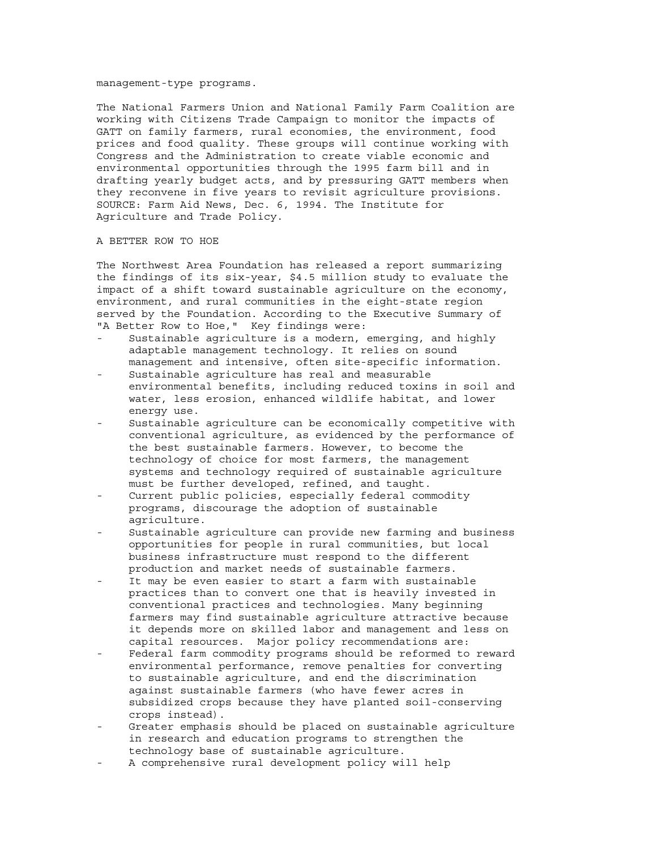#### management-type programs.

The National Farmers Union and National Family Farm Coalition are working with Citizens Trade Campaign to monitor the impacts of GATT on family farmers, rural economies, the environment, food prices and food quality. These groups will continue working with Congress and the Administration to create viable economic and environmental opportunities through the 1995 farm bill and in drafting yearly budget acts, and by pressuring GATT members when they reconvene in five years to revisit agriculture provisions. SOURCE: Farm Aid News, Dec. 6, 1994. The Institute for Agriculture and Trade Policy.

## A BETTER ROW TO HOE

The Northwest Area Foundation has released a report summarizing the findings of its six-year, \$4.5 million study to evaluate the impact of a shift toward sustainable agriculture on the economy, environment, and rural communities in the eight-state region served by the Foundation. According to the Executive Summary of "A Better Row to Hoe," Key findings were:

- Sustainable agriculture is a modern, emerging, and highly adaptable management technology. It relies on sound management and intensive, often site-specific information.
- Sustainable agriculture has real and measurable environmental benefits, including reduced toxins in soil and water, less erosion, enhanced wildlife habitat, and lower energy use.
- Sustainable agriculture can be economically competitive with conventional agriculture, as evidenced by the performance of the best sustainable farmers. However, to become the technology of choice for most farmers, the management systems and technology required of sustainable agriculture must be further developed, refined, and taught.
- Current public policies, especially federal commodity programs, discourage the adoption of sustainable agriculture.
- Sustainable agriculture can provide new farming and business opportunities for people in rural communities, but local business infrastructure must respond to the different production and market needs of sustainable farmers.
- It may be even easier to start a farm with sustainable practices than to convert one that is heavily invested in conventional practices and technologies. Many beginning farmers may find sustainable agriculture attractive because it depends more on skilled labor and management and less on capital resources. Major policy recommendations are:
- Federal farm commodity programs should be reformed to reward environmental performance, remove penalties for converting to sustainable agriculture, and end the discrimination against sustainable farmers (who have fewer acres in subsidized crops because they have planted soil-conserving crops instead).
- Greater emphasis should be placed on sustainable agriculture in research and education programs to strengthen the technology base of sustainable agriculture.
- A comprehensive rural development policy will help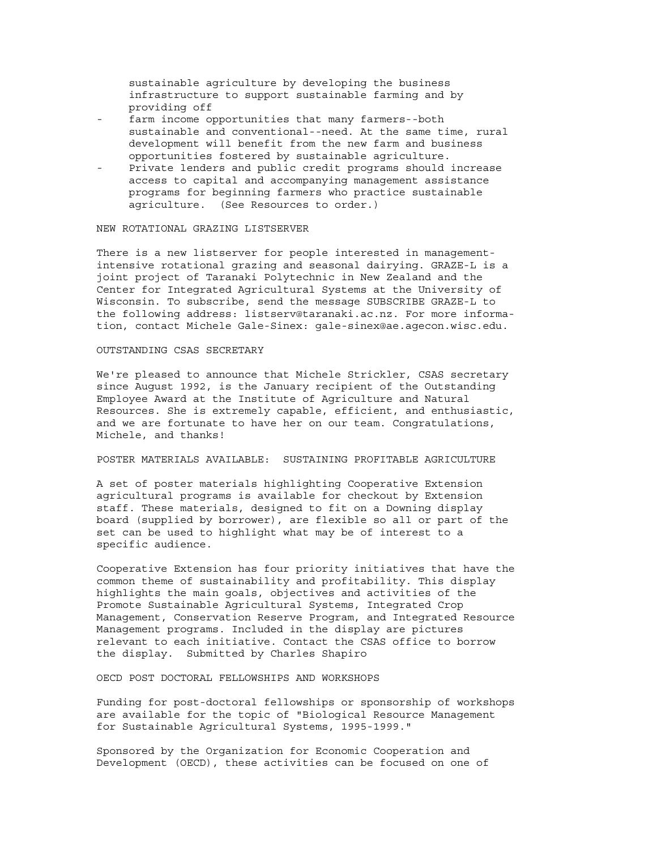sustainable agriculture by developing the business infrastructure to support sustainable farming and by providing off

- farm income opportunities that many farmers--both sustainable and conventional--need. At the same time, rural development will benefit from the new farm and business opportunities fostered by sustainable agriculture.
- Private lenders and public credit programs should increase access to capital and accompanying management assistance programs for beginning farmers who practice sustainable agriculture. (See Resources to order.)

#### NEW ROTATIONAL GRAZING LISTSERVER

There is a new listserver for people interested in managementintensive rotational grazing and seasonal dairying. GRAZE-L is a joint project of Taranaki Polytechnic in New Zealand and the Center for Integrated Agricultural Systems at the University of Wisconsin. To subscribe, send the message SUBSCRIBE GRAZE-L to the following address: listserv@taranaki.ac.nz. For more information, contact Michele Gale-Sinex: gale-sinex@ae.agecon.wisc.edu.

#### OUTSTANDING CSAS SECRETARY

We're pleased to announce that Michele Strickler, CSAS secretary since August 1992, is the January recipient of the Outstanding Employee Award at the Institute of Agriculture and Natural Resources. She is extremely capable, efficient, and enthusiastic, and we are fortunate to have her on our team. Congratulations, Michele, and thanks!

# POSTER MATERIALS AVAILABLE: SUSTAINING PROFITABLE AGRICULTURE

A set of poster materials highlighting Cooperative Extension agricultural programs is available for checkout by Extension staff. These materials, designed to fit on a Downing display board (supplied by borrower), are flexible so all or part of the set can be used to highlight what may be of interest to a specific audience.

Cooperative Extension has four priority initiatives that have the common theme of sustainability and profitability. This display highlights the main goals, objectives and activities of the Promote Sustainable Agricultural Systems, Integrated Crop Management, Conservation Reserve Program, and Integrated Resource Management programs. Included in the display are pictures relevant to each initiative. Contact the CSAS office to borrow the display. Submitted by Charles Shapiro

OECD POST DOCTORAL FELLOWSHIPS AND WORKSHOPS

Funding for post-doctoral fellowships or sponsorship of workshops are available for the topic of "Biological Resource Management for Sustainable Agricultural Systems, 1995-1999."

Sponsored by the Organization for Economic Cooperation and Development (OECD), these activities can be focused on one of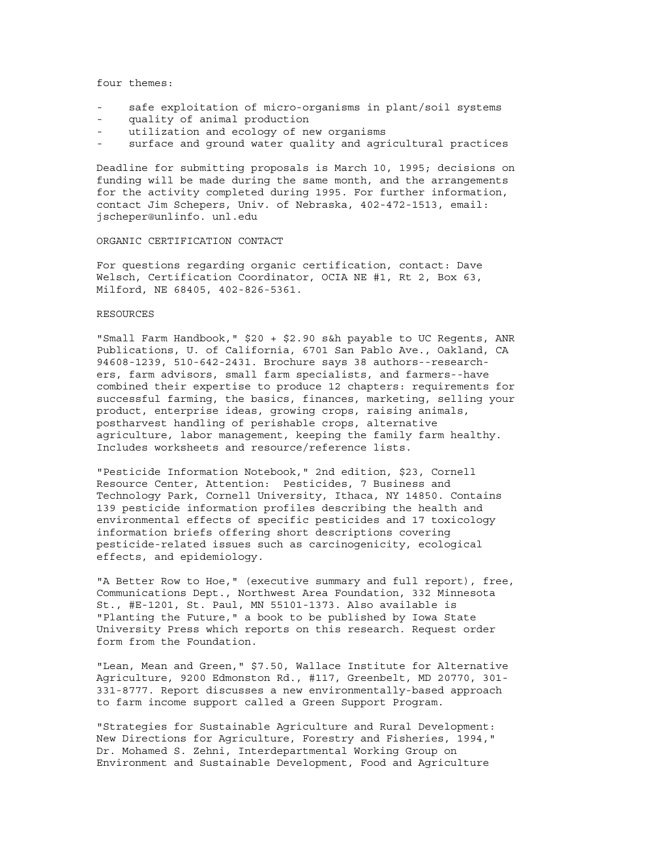four themes:

- safe exploitation of micro-organisms in plant/soil systems
- quality of animal production
- utilization and ecology of new organisms
- surface and ground water quality and agricultural practices

Deadline for submitting proposals is March 10, 1995; decisions on funding will be made during the same month, and the arrangements for the activity completed during 1995. For further information, contact Jim Schepers, Univ. of Nebraska, 402-472-1513, email: jscheper@unlinfo. unl.edu

#### ORGANIC CERTIFICATION CONTACT

For questions regarding organic certification, contact: Dave Welsch, Certification Coordinator, OCIA NE #1, Rt 2, Box 63, Milford, NE 68405, 402-826-5361.

#### RESOURCES

"Small Farm Handbook," \$20 + \$2.90 s&h payable to UC Regents, ANR Publications, U. of California, 6701 San Pablo Ave., Oakland, CA 94608-1239, 510-642-2431. Brochure says 38 authors--researchers, farm advisors, small farm specialists, and farmers--have combined their expertise to produce 12 chapters: requirements for successful farming, the basics, finances, marketing, selling your product, enterprise ideas, growing crops, raising animals, postharvest handling of perishable crops, alternative agriculture, labor management, keeping the family farm healthy. Includes worksheets and resource/reference lists.

"Pesticide Information Notebook," 2nd edition, \$23, Cornell Resource Center, Attention: Pesticides, 7 Business and Technology Park, Cornell University, Ithaca, NY 14850. Contains 139 pesticide information profiles describing the health and environmental effects of specific pesticides and 17 toxicology information briefs offering short descriptions covering pesticide-related issues such as carcinogenicity, ecological effects, and epidemiology.

"A Better Row to Hoe," (executive summary and full report), free, Communications Dept., Northwest Area Foundation, 332 Minnesota St., #E-1201, St. Paul, MN 55101-1373. Also available is "Planting the Future," a book to be published by Iowa State University Press which reports on this research. Request order form from the Foundation.

"Lean, Mean and Green," \$7.50, Wallace Institute for Alternative Agriculture, 9200 Edmonston Rd., #117, Greenbelt, MD 20770, 301- 331-8777. Report discusses a new environmentally-based approach to farm income support called a Green Support Program.

"Strategies for Sustainable Agriculture and Rural Development: New Directions for Agriculture, Forestry and Fisheries, 1994," Dr. Mohamed S. Zehni, Interdepartmental Working Group on Environment and Sustainable Development, Food and Agriculture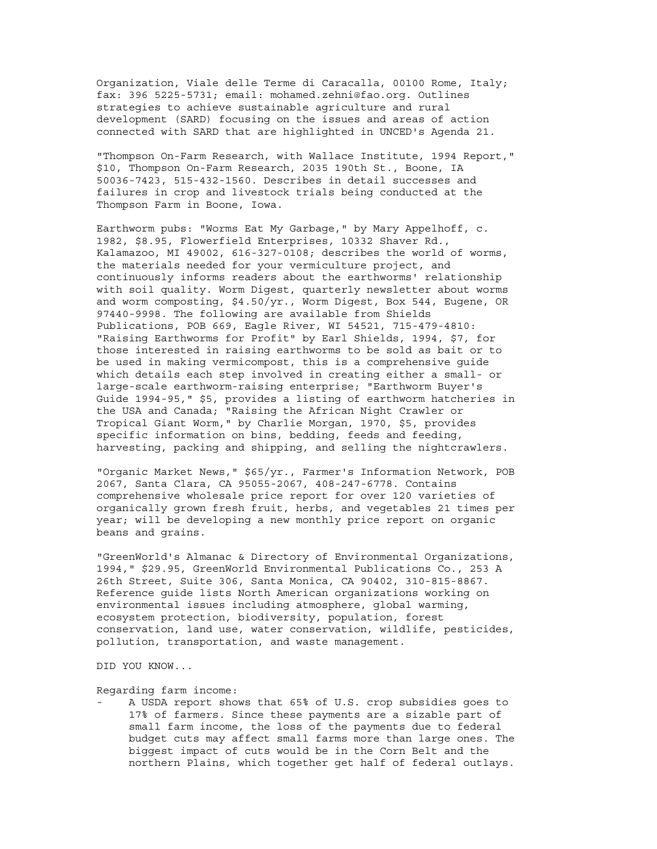Organization, Viale delle Terme di Caracalla, 00100 Rome, Italy; fax: 396 5225-5731; email: mohamed.zehni@fao.org. Outlines strategies to achieve sustainable agriculture and rural development (SARD) focusing on the issues and areas of action connected with SARD that are highlighted in UNCED's Agenda 21.

"Thompson On-Farm Research, with Wallace Institute, 1994 Report," \$10, Thompson On-Farm Research, 2035 190th St., Boone, IA 50036-7423, 515-432-1560. Describes in detail successes and failures in crop and livestock trials being conducted at the Thompson Farm in Boone, Iowa.

Earthworm pubs: "Worms Eat My Garbage," by Mary Appelhoff, c. 1982, \$8.95, Flowerfield Enterprises, 10332 Shaver Rd., Kalamazoo, MI 49002, 616-327-0108; describes the world of worms, the materials needed for your vermiculture project, and continuously informs readers about the earthworms' relationship with soil quality. Worm Digest, quarterly newsletter about worms and worm composting, \$4.50/yr., Worm Digest, Box 544, Eugene, OR 97440-9998. The following are available from Shields Publications, POB 669, Eagle River, WI 54521, 715-479-4810: "Raising Earthworms for Profit" by Earl Shields, 1994, \$7, for those interested in raising earthworms to be sold as bait or to be used in making vermicompost, this is a comprehensive guide which details each step involved in creating either a small- or large-scale earthworm-raising enterprise; "Earthworm Buyer's Guide 1994-95," \$5, provides a listing of earthworm hatcheries in the USA and Canada; "Raising the African Night Crawler or Tropical Giant Worm," by Charlie Morgan, 1970, \$5, provides specific information on bins, bedding, feeds and feeding, harvesting, packing and shipping, and selling the nightcrawlers.

"Organic Market News," \$65/yr., Farmer's Information Network, POB 2067, Santa Clara, CA 95055-2067, 408-247-6778. Contains comprehensive wholesale price report for over 120 varieties of organically grown fresh fruit, herbs, and vegetables 21 times per year; will be developing a new monthly price report on organic beans and grains.

"GreenWorld's Almanac & Directory of Environmental Organizations, 1994," \$29.95, GreenWorld Environmental Publications Co., 253 A 26th Street, Suite 306, Santa Monica, CA 90402, 310-815-8867. Reference guide lists North American organizations working on environmental issues including atmosphere, global warming, ecosystem protection, biodiversity, population, forest conservation, land use, water conservation, wildlife, pesticides, pollution, transportation, and waste management.

DID YOU KNOW...

Regarding farm income:

A USDA report shows that 65% of U.S. crop subsidies goes to 17% of farmers. Since these payments are a sizable part of small farm income, the loss of the payments due to federal budget cuts may affect small farms more than large ones. The biggest impact of cuts would be in the Corn Belt and the northern Plains, which together get half of federal outlays.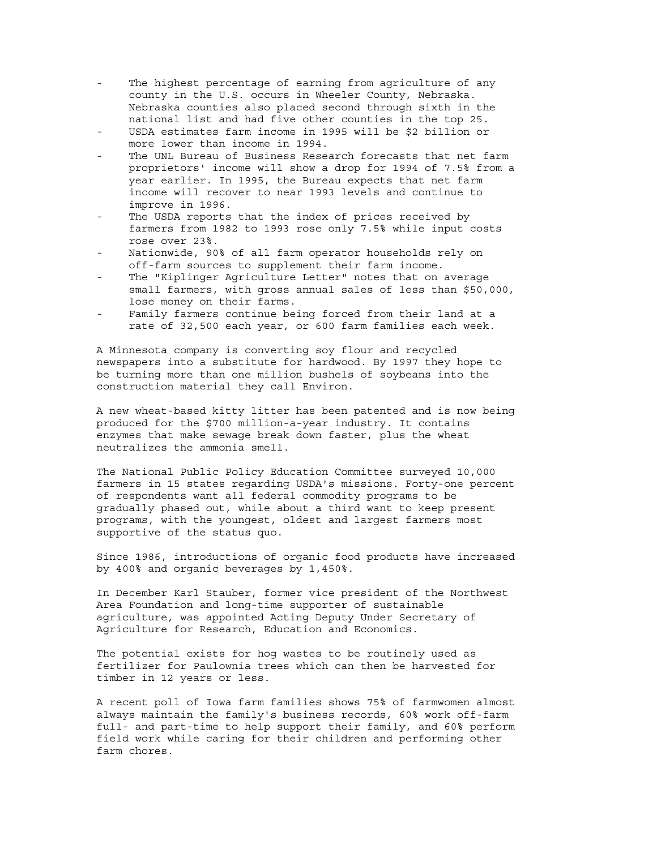- The highest percentage of earning from agriculture of any county in the U.S. occurs in Wheeler County, Nebraska. Nebraska counties also placed second through sixth in the national list and had five other counties in the top 25.
- USDA estimates farm income in 1995 will be \$2 billion or more lower than income in 1994.
- The UNL Bureau of Business Research forecasts that net farm proprietors' income will show a drop for 1994 of 7.5% from a year earlier. In 1995, the Bureau expects that net farm income will recover to near 1993 levels and continue to improve in 1996.
- The USDA reports that the index of prices received by farmers from 1982 to 1993 rose only 7.5% while input costs rose over 23%.
- Nationwide, 90% of all farm operator households rely on off-farm sources to supplement their farm income.
- The "Kiplinger Agriculture Letter" notes that on average small farmers, with gross annual sales of less than \$50,000, lose money on their farms.
- Family farmers continue being forced from their land at a rate of 32,500 each year, or 600 farm families each week.

A Minnesota company is converting soy flour and recycled newspapers into a substitute for hardwood. By 1997 they hope to be turning more than one million bushels of soybeans into the construction material they call Environ.

A new wheat-based kitty litter has been patented and is now being produced for the \$700 million-a-year industry. It contains enzymes that make sewage break down faster, plus the wheat neutralizes the ammonia smell.

The National Public Policy Education Committee surveyed 10,000 farmers in 15 states regarding USDA's missions. Forty-one percent of respondents want all federal commodity programs to be gradually phased out, while about a third want to keep present programs, with the youngest, oldest and largest farmers most supportive of the status quo.

Since 1986, introductions of organic food products have increased by 400% and organic beverages by 1,450%.

In December Karl Stauber, former vice president of the Northwest Area Foundation and long-time supporter of sustainable agriculture, was appointed Acting Deputy Under Secretary of Agriculture for Research, Education and Economics.

The potential exists for hog wastes to be routinely used as fertilizer for Paulownia trees which can then be harvested for timber in 12 years or less.

A recent poll of Iowa farm families shows 75% of farmwomen almost always maintain the family's business records, 60% work off-farm full- and part-time to help support their family, and 60% perform field work while caring for their children and performing other farm chores.